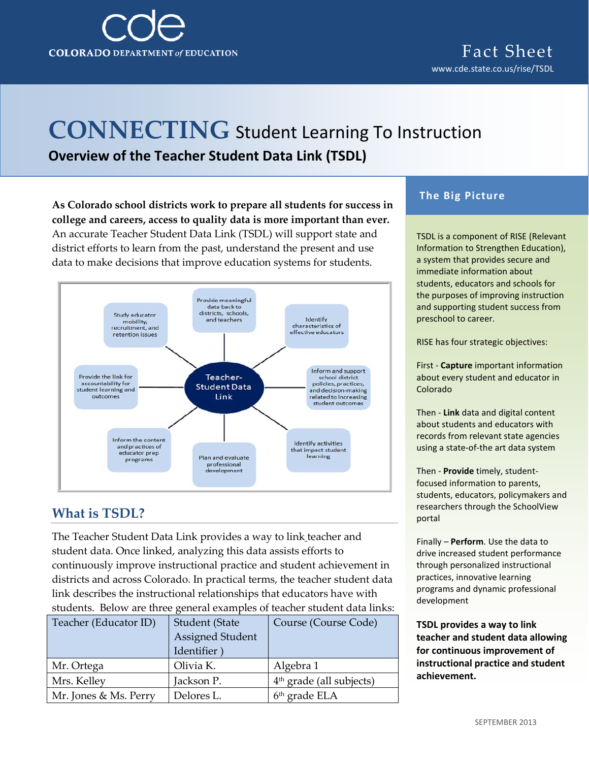

# **CONNECTING** Student Learning To Instruction **Overview of the Teacher Student Data Link (TSDL)**

**As Colorado school districts work to prepare all students for success in college and careers, access to quality data is more important than ever.** An accurate Teacher Student Data Link (TSDL) will support state and district efforts to learn from the past, understand the present and use data to make decisions that improve education systems for students.



### **What is TSDL?**

The Teacher Student Data Link provides a way to link teacher and student data. Once linked, analyzing this data assists efforts to continuously improve instructional practice and student achievement in districts and across Colorado. In practical terms, the teacher student data link describes the instructional relationships that educators have with students. Below are three general examples of teacher student data links:

| Teacher (Educator ID) | Student (State          | Course (Course Code)       |
|-----------------------|-------------------------|----------------------------|
|                       | <b>Assigned Student</b> |                            |
|                       | Identifier              |                            |
| Mr. Ortega            | Olivia K.               | Algebra 1                  |
| Mrs. Kelley           | Jackson P.              | $4th$ grade (all subjects) |
| Mr. Jones & Ms. Perry | Delores L.              | 6 <sup>th</sup> grade ELA  |

#### **The Big Picture**

TSDL is a component of RISE (Relevant Information to Strengthen Education), a system that provides secure and immediate information about students, educators and schools for the purposes of improving instruction and supporting student success from preschool to career.

RISE has four strategic objectives:

First - **Capture** important information about every student and educator in Colorado

Then - **Link** data and digital content about students and educators with records from relevant state agencies using a state-of-the art data system

Then - **Provide** timely, studentfocused information to parents, students, educators, policymakers and researchers through the SchoolView portal

Finally – **Perform**. Use the data to drive increased student performance through personalized instructional practices, innovative learning programs and dynamic professional development

**TSDL provides a way to link teacher and student data allowing for continuous improvement of instructional practice and student achievement.**